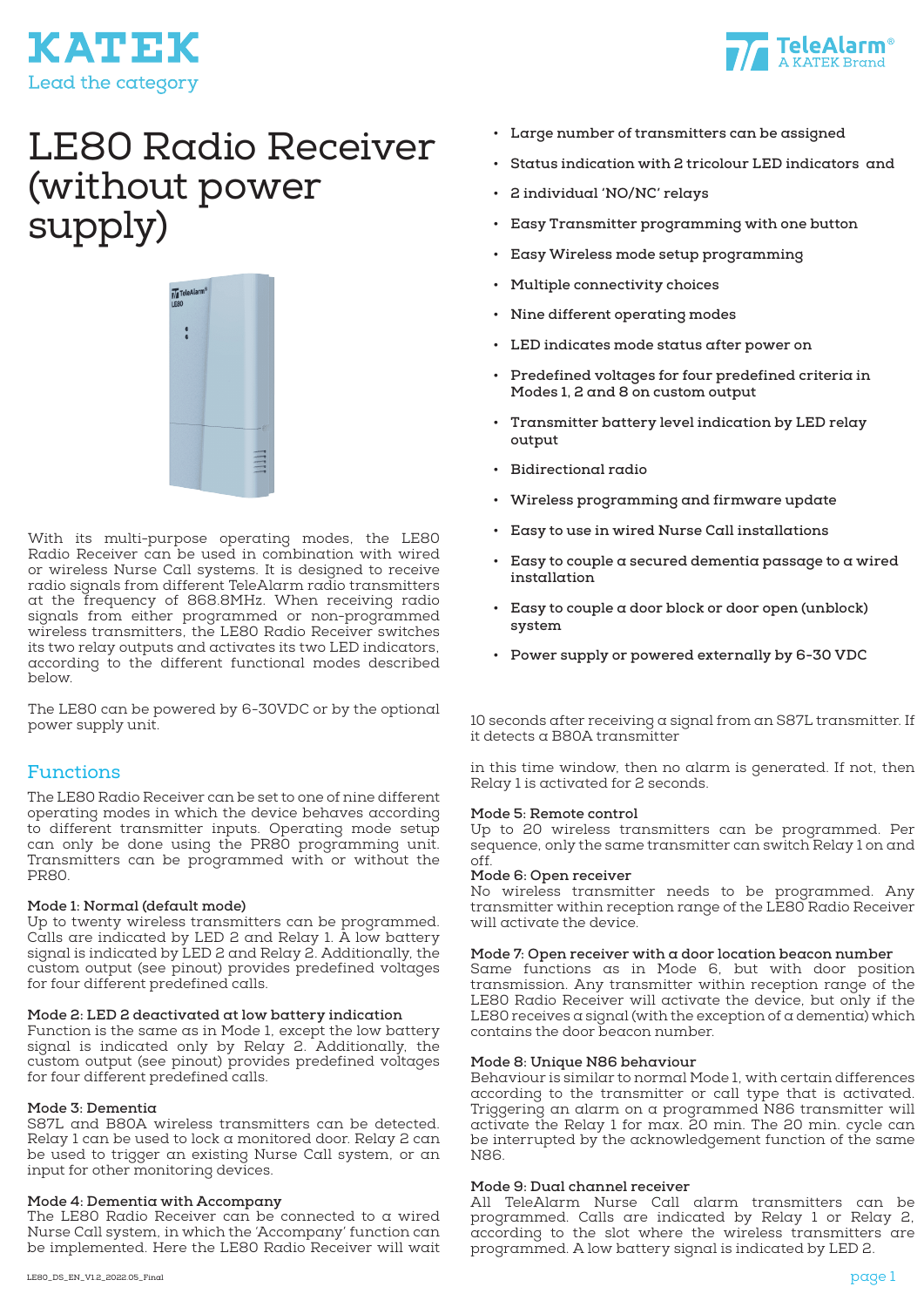



# LE80 Radio Receiver (without power supply)



With its multi-purpose operating modes, the LE80 Radio Receiver can be used in combination with wired or wireless Nurse Call systems. It is designed to receive radio signals from different TeleAlarm radio transmitters at the frequency of 868.8MHz. When receiving radio signals from either programmed or non-programmed wireless transmitters, the LE80 Radio Receiver switches its two relay outputs and activates its two LED indicators, according to the different functional modes described below.

The LE80 can be powered by 6-30VDC or by the optional power supply unit.

## Functions

The LE80 Radio Receiver can be set to one of nine different operating modes in which the device behaves according to different transmitter inputs. Operating mode setup can only be done using the PR80 programming unit. Transmitters can be programmed with or without the PR80.

#### **Mode 1: Normal (default mode)**

Up to twenty wireless transmitters can be programmed. Calls are indicated by LED 2 and Relay 1. A low battery signal is indicated by LED 2 and Relay 2. Additionally, the custom output (see pinout) provides predefined voltages for four different predefined calls.

#### **Mode 2: LED 2 deactivated at low battery indication**

Function is the same as in Mode 1, except the low battery signal is indicated only by Relay 2. Additionally, the custom output (see pinout) provides predefined voltages for four different predefined calls.

#### **Mode 3: Dementia**

S87L and B80A wireless transmitters can be detected. Relay 1 can be used to lock a monitored door. Relay 2 can be used to trigger an existing Nurse Call system, or an input for other monitoring devices.

#### **Mode 4: Dementia with Accompany**

The LE80 Radio Receiver can be connected to a wired Nurse Call system, in which the 'Accompany' function can be implemented. Here the LE80 Radio Receiver will wait

- **• Status indication with 2 tricolour LED indicators and**
- **• 2 individual 'NO/NC' relays**
- **• Easy Transmitter programming with one button**
- **• Easy Wireless mode setup programming**
- **• Multiple connectivity choices**
- **• Nine different operating modes**
- **• LED indicates mode status after power on**
- **• Predefined voltages for four predefined criteria in Modes 1, 2 and 8 on custom output**
- **• Transmitter battery level indication by LED relay output**
- **• Bidirectional radio**
- **• Wireless programming and firmware update**
- **• Easy to use in wired Nurse Call installations**
- **• Easy to couple a secured dementia passage to a wired installation**
- **• Easy to couple a door block or door open (unblock) system**
- **• Power supply or powered externally by 6-30 VDC**

10 seconds after receiving a signal from an S87L transmitter. If it detects a B80A transmitter

in this time window, then no alarm is generated. If not, then Relay 1 is activated for 2 seconds.

#### **Mode 5: Remote control**

Up to 20 wireless transmitters can be programmed. Per sequence, only the same transmitter can switch Relay 1 on and off.

#### **Mode 6: Open receiver**

No wireless transmitter needs to be programmed. Any transmitter within reception range of the LE80 Radio Receiver will activate the device.

#### **Mode 7: Open receiver with a door location beacon number**

Same functions as in Mode 6, but with door position transmission. Any transmitter within reception range of the LE80 Radio Receiver will activate the device, but only if the LE80 receives a signal (with the exception of a dementia) which contains the door beacon number.

#### **Mode 8: Unique N86 behaviour**

Behaviour is similar to normal Mode 1, with certain differences according to the transmitter or call type that is activated. Triggering an alarm on a programmed N86 transmitter will activate the Relay 1 for max. 20 min. The 20 min. cycle can be interrupted by the acknowledgement function of the same N86.

#### **Mode 9: Dual channel receiver**

All TeleAlarm Nurse Call alarm transmitters can be programmed. Calls are indicated by Relay 1 or Relay 2, according to the slot where the wireless transmitters are programmed. A low battery signal is indicated by LED 2.